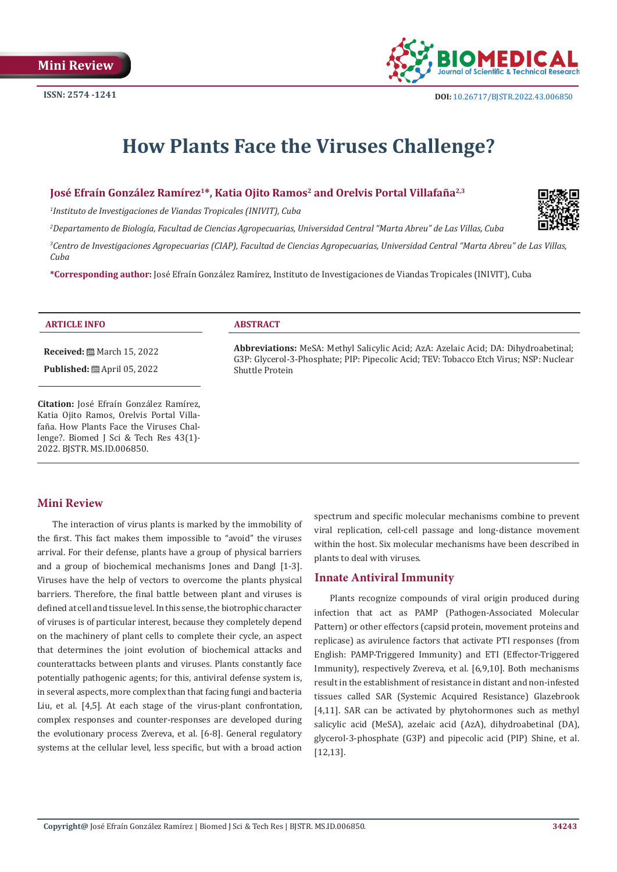

# **How Plants Face the Viruses Challenge?**

# **José Efraín González Ramírez1\*, Katia Ojito Ramos2 and Orelvis Portal Villafaña2,3**

*1 Instituto de Investigaciones de Viandas Tropicales (INIVIT), Cuba*

*2 Departamento de Biología, Facultad de Ciencias Agropecuarias, Universidad Central "Marta Abreu" de Las Villas, Cuba*

*3 Centro de Investigaciones Agropecuarias (CIAP), Facultad de Ciencias Agropecuarias, Universidad Central "Marta Abreu" de Las Villas, Cuba*

**\*Corresponding author:** José Efraín González Ramírez, Instituto de Investigaciones de Viandas Tropicales (INIVIT), Cuba

#### **ARTICLE INFO ABSTRACT**

**Received:** March 15, 2022

**Published:** ■ April 05, 2022

**Citation:** José Efraín González Ramírez, Katia Ojito Ramos, Orelvis Portal Villafaña. How Plants Face the Viruses Challenge?. Biomed J Sci & Tech Res 43(1)- 2022. BJSTR. MS.ID.006850.

**Abbreviations:** MeSA: Methyl Salicylic Acid; AzA: Azelaic Acid; DA: Dihydroabetinal; G3P: Glycerol-3-Phosphate; PIP: Pipecolic Acid; TEV: Tobacco Etch Virus; NSP: Nuclear Shuttle Protein

#### **Mini Review**

The interaction of virus plants is marked by the immobility of the first. This fact makes them impossible to "avoid" the viruses arrival. For their defense, plants have a group of physical barriers and a group of biochemical mechanisms Jones and Dangl [1-3]. Viruses have the help of vectors to overcome the plants physical barriers. Therefore, the final battle between plant and viruses is defined at cell and tissue level. In this sense, the biotrophic character of viruses is of particular interest, because they completely depend on the machinery of plant cells to complete their cycle, an aspect that determines the joint evolution of biochemical attacks and counterattacks between plants and viruses. Plants constantly face potentially pathogenic agents; for this, antiviral defense system is, in several aspects, more complex than that facing fungi and bacteria Liu, et al. [4,5]. At each stage of the virus-plant confrontation, complex responses and counter-responses are developed during the evolutionary process Zvereva, et al. [6-8]. General regulatory systems at the cellular level, less specific, but with a broad action

spectrum and specific molecular mechanisms combine to prevent viral replication, cell-cell passage and long-distance movement within the host. Six molecular mechanisms have been described in plants to deal with viruses.

#### **Innate Antiviral Immunity**

Plants recognize compounds of viral origin produced during infection that act as PAMP (Pathogen-Associated Molecular Pattern) or other effectors (capsid protein, movement proteins and replicase) as avirulence factors that activate PTI responses (from English: PAMP-Triggered Immunity) and ETI (Effector-Triggered Immunity), respectively Zvereva, et al. [6,9,10]. Both mechanisms result in the establishment of resistance in distant and non-infested tissues called SAR (Systemic Acquired Resistance) Glazebrook [4,11]. SAR can be activated by phytohormones such as methyl salicylic acid (MeSA), azelaic acid (AzA), dihydroabetinal (DA), glycerol-3-phosphate (G3P) and pipecolic acid (PIP) Shine, et al. [12,13].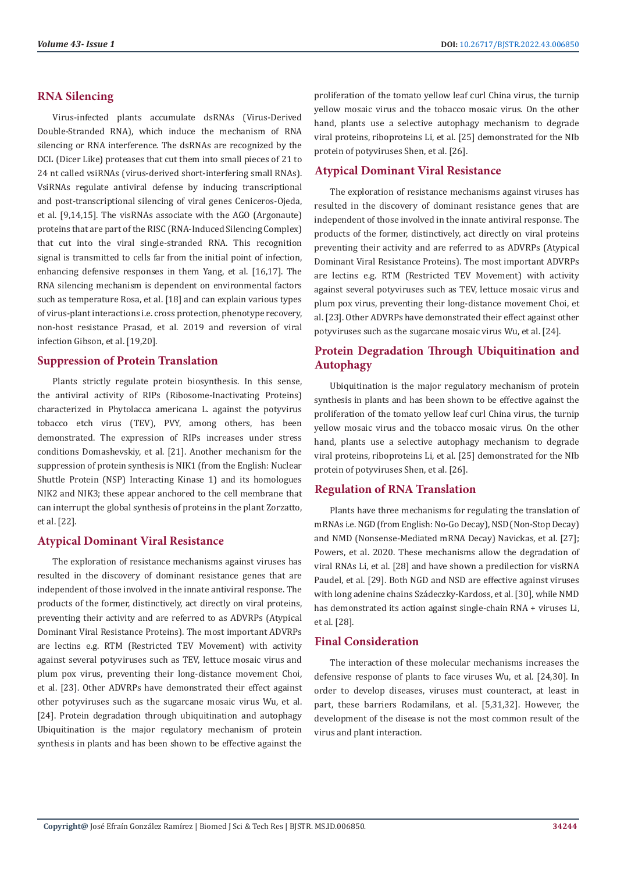# **RNA Silencing**

Virus-infected plants accumulate dsRNAs (Virus-Derived Double-Stranded RNA), which induce the mechanism of RNA silencing or RNA interference. The dsRNAs are recognized by the DCL (Dicer Like) proteases that cut them into small pieces of 21 to 24 nt called vsiRNAs (virus-derived short-interfering small RNAs). VsiRNAs regulate antiviral defense by inducing transcriptional and post-transcriptional silencing of viral genes Ceniceros-Ojeda, et al. [9,14,15]. The visRNAs associate with the AGO (Argonaute) proteins that are part of the RISC (RNA-Induced Silencing Complex) that cut into the viral single-stranded RNA. This recognition signal is transmitted to cells far from the initial point of infection, enhancing defensive responses in them Yang, et al. [16,17]. The RNA silencing mechanism is dependent on environmental factors such as temperature Rosa, et al. [18] and can explain various types of virus-plant interactions i.e. cross protection, phenotype recovery, non-host resistance Prasad, et al. 2019 and reversion of viral infection Gibson, et al. [19,20].

### **Suppression of Protein Translation**

Plants strictly regulate protein biosynthesis. In this sense, the antiviral activity of RIPs (Ribosome-Inactivating Proteins) characterized in Phytolacca americana L. against the potyvirus tobacco etch virus (TEV), PVY, among others, has been demonstrated. The expression of RIPs increases under stress conditions Domashevskiy, et al. [21]. Another mechanism for the suppression of protein synthesis is NIK1 (from the English: Nuclear Shuttle Protein (NSP) Interacting Kinase 1) and its homologues NIK2 and NIK3; these appear anchored to the cell membrane that can interrupt the global synthesis of proteins in the plant Zorzatto, et al. [22].

#### **Atypical Dominant Viral Resistance**

The exploration of resistance mechanisms against viruses has resulted in the discovery of dominant resistance genes that are independent of those involved in the innate antiviral response. The products of the former, distinctively, act directly on viral proteins, preventing their activity and are referred to as ADVRPs (Atypical Dominant Viral Resistance Proteins). The most important ADVRPs are lectins e.g. RTM (Restricted TEV Movement) with activity against several potyviruses such as TEV, lettuce mosaic virus and plum pox virus, preventing their long-distance movement Choi, et al. [23]. Other ADVRPs have demonstrated their effect against other potyviruses such as the sugarcane mosaic virus Wu, et al. [24]. Protein degradation through ubiquitination and autophagy Ubiquitination is the major regulatory mechanism of protein synthesis in plants and has been shown to be effective against the

proliferation of the tomato yellow leaf curl China virus, the turnip yellow mosaic virus and the tobacco mosaic virus. On the other hand, plants use a selective autophagy mechanism to degrade viral proteins, riboproteins Li, et al. [25] demonstrated for the NIb protein of potyviruses Shen, et al. [26].

# **Atypical Dominant Viral Resistance**

The exploration of resistance mechanisms against viruses has resulted in the discovery of dominant resistance genes that are independent of those involved in the innate antiviral response. The products of the former, distinctively, act directly on viral proteins preventing their activity and are referred to as ADVRPs (Atypical Dominant Viral Resistance Proteins). The most important ADVRPs are lectins e.g. RTM (Restricted TEV Movement) with activity against several potyviruses such as TEV, lettuce mosaic virus and plum pox virus, preventing their long-distance movement Choi, et al. [23]. Other ADVRPs have demonstrated their effect against other potyviruses such as the sugarcane mosaic virus Wu, et al. [24].

# **Protein Degradation Through Ubiquitination and Autophagy**

Ubiquitination is the major regulatory mechanism of protein synthesis in plants and has been shown to be effective against the proliferation of the tomato yellow leaf curl China virus, the turnip yellow mosaic virus and the tobacco mosaic virus. On the other hand, plants use a selective autophagy mechanism to degrade viral proteins, riboproteins Li, et al. [25] demonstrated for the NIb protein of potyviruses Shen, et al. [26].

#### **Regulation of RNA Translation**

Plants have three mechanisms for regulating the translation of mRNAs i.e. NGD (from English: No-Go Decay), NSD (Non-Stop Decay) and NMD (Nonsense-Mediated mRNA Decay) Navickas, et al. [27]; Powers, et al. 2020. These mechanisms allow the degradation of viral RNAs Li, et al. [28] and have shown a predilection for visRNA Paudel, et al. [29]. Both NGD and NSD are effective against viruses with long adenine chains Szádeczky-Kardoss, et al. [30], while NMD has demonstrated its action against single-chain RNA + viruses Li, et al. [28].

# **Final Consideration**

The interaction of these molecular mechanisms increases the defensive response of plants to face viruses Wu, et al. [24,30]. In order to develop diseases, viruses must counteract, at least in part, these barriers Rodamilans, et al. [5,31,32]. However, the development of the disease is not the most common result of the virus and plant interaction.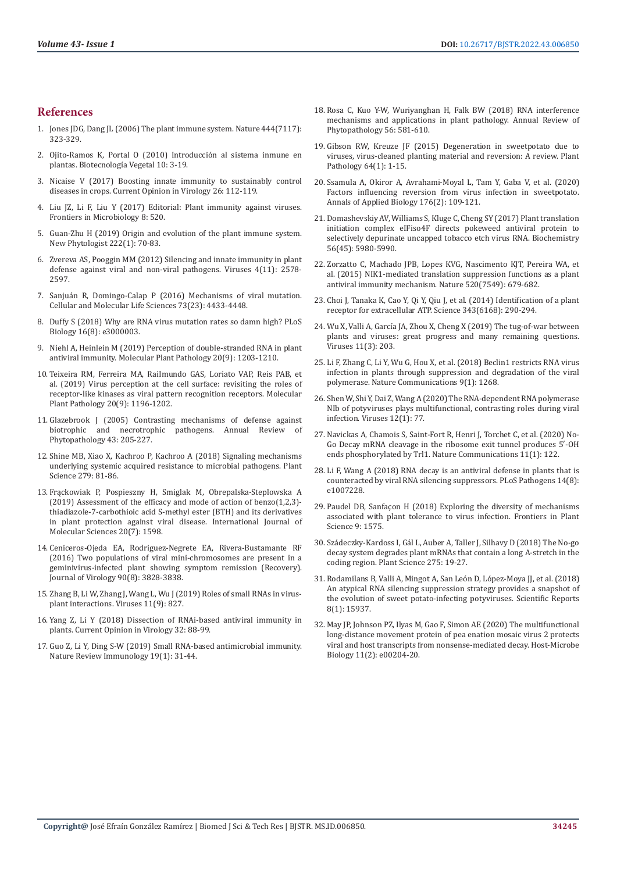#### **References**

- 1. [Jones JDG, Dang JL \(2006\) The plant immune system. Nature 444\(7117\):](https://pubmed.ncbi.nlm.nih.gov/17108957/)  [323-329.](https://pubmed.ncbi.nlm.nih.gov/17108957/)
- 2. [Ojito-Ramos K, Portal O \(2010\) Introducción al sistema inmune en](https://www.researchgate.net/publication/336927665_Introduccion_al_sistema_inmune_en_plantas)  [plantas. Biotecnología Vegetal 10: 3-19.](https://www.researchgate.net/publication/336927665_Introduccion_al_sistema_inmune_en_plantas)
- 3. [Nicaise V \(2017\) Boosting innate immunity to sustainably control](https://pubmed.ncbi.nlm.nih.gov/28802707/)  [diseases in crops. Current Opinion in Virology 26: 112-119.](https://pubmed.ncbi.nlm.nih.gov/28802707/)
- 4. [Liu JZ, Li F, Liu Y \(2017\) Editorial: Plant immunity against viruses.](https://www.frontiersin.org/articles/10.3389/fmicb.2017.00520/full)  [Frontiers in Microbiology 8: 520.](https://www.frontiersin.org/articles/10.3389/fmicb.2017.00520/full)
- 5. [Guan-Zhu H \(2019\) Origin and evolution of the plant immune system.](https://pubmed.ncbi.nlm.nih.gov/30575972/)  [New Phytologist 222\(1\): 70-83.](https://pubmed.ncbi.nlm.nih.gov/30575972/)
- 6. [Zvereva AS, Pooggin MM \(2012\) Silencing and innate immunity in plant](https://pubmed.ncbi.nlm.nih.gov/23202495/)  [defense against viral and non-viral pathogens. Viruses 4\(11\): 2578-](https://pubmed.ncbi.nlm.nih.gov/23202495/) [2597.](https://pubmed.ncbi.nlm.nih.gov/23202495/)
- 7. [Sanjuán R, Domingo-Calap P \(2016\) Mechanisms of viral mutation.](https://pubmed.ncbi.nlm.nih.gov/27392606/)  [Cellular and Molecular Life Sciences 73\(23\): 4433-4448.](https://pubmed.ncbi.nlm.nih.gov/27392606/)
- 8. [Duffy S \(2018\) Why are RNA virus mutation rates so damn high? PLoS](https://pubmed.ncbi.nlm.nih.gov/30102691/)  [Biology 16\(8\): e3000003.](https://pubmed.ncbi.nlm.nih.gov/30102691/)
- 9. [Niehl A, Heinlein M \(2019\) Perception of double-stranded RNA in plant](https://pubmed.ncbi.nlm.nih.gov/30942534/)  [antiviral immunity. Molecular Plant Pathology 20\(9\): 1203-1210.](https://pubmed.ncbi.nlm.nih.gov/30942534/)
- 10. [Teixeira RM, Ferreira MA, RaiImundo GAS, Loriato VAP, Reis PAB, et](https://pubmed.ncbi.nlm.nih.gov/31094066/)  [al. \(2019\) Virus perception at the cell surface: revisiting the roles of](https://pubmed.ncbi.nlm.nih.gov/31094066/)  [receptor-like kinases as viral pattern recognition receptors. Molecular](https://pubmed.ncbi.nlm.nih.gov/31094066/)  [Plant Pathology 20\(9\): 1196-1202.](https://pubmed.ncbi.nlm.nih.gov/31094066/)
- 11. [Glazebrook J \(2005\) Contrasting mechanisms of defense against](https://pubmed.ncbi.nlm.nih.gov/16078883/)  biotrophic and necrotrophic pathogens. Annual Review [Phytopathology 43: 205-227.](https://pubmed.ncbi.nlm.nih.gov/16078883/)
- 12. [Shine MB, Xiao X, Kachroo P, Kachroo A \(2018\) Signaling mechanisms](https://pubmed.ncbi.nlm.nih.gov/30709496/)  [underlying systemic acquired resistance to microbial pathogens. Plant](https://pubmed.ncbi.nlm.nih.gov/30709496/)  [Science 279: 81-86.](https://pubmed.ncbi.nlm.nih.gov/30709496/)
- 13. Frą[ckowiak P, Pospieszny H, Smiglak M, Obrepalska-Steplowska A](https://pubmed.ncbi.nlm.nih.gov/30935036/)  [\(2019\) Assessment of the efficacy and mode of action of benzo\(1,2,3\)](https://pubmed.ncbi.nlm.nih.gov/30935036/) [thiadiazole-7-carbothioic acid S-methyl ester \(BTH\) and its derivatives](https://pubmed.ncbi.nlm.nih.gov/30935036/)  [in plant protection against viral disease. International Journal of](https://pubmed.ncbi.nlm.nih.gov/30935036/)  [Molecular Sciences 20\(7\): 1598.](https://pubmed.ncbi.nlm.nih.gov/30935036/)
- 14. [Ceniceros-Ojeda EA, Rodriguez-Negrete EA, Rivera-Bustamante RF](https://pubmed.ncbi.nlm.nih.gov/26792752/)  [\(2016\) Two populations of viral mini-chromosomes are present in a](https://pubmed.ncbi.nlm.nih.gov/26792752/)  [geminivirus-infected plant showing symptom remission \(Recovery\).](https://pubmed.ncbi.nlm.nih.gov/26792752/)  [Journal of Virology 90\(8\): 3828-3838.](https://pubmed.ncbi.nlm.nih.gov/26792752/)
- 15. [Zhang B, Li W, Zhang J, Wang L, Wu J \(2019\) Roles of small RNAs in virus](https://pubmed.ncbi.nlm.nih.gov/31491987/)[plant interactions. Viruses 11\(9\): 827.](https://pubmed.ncbi.nlm.nih.gov/31491987/)
- 16. [Yang Z, Li Y \(2018\) Dissection of RNAi-based antiviral immunity in](https://pubmed.ncbi.nlm.nih.gov/30388659/)  [plants. Current Opinion in Virology 32: 88-99.](https://pubmed.ncbi.nlm.nih.gov/30388659/)
- 17. [Guo Z, Li Y, Ding S-W \(2019\) Small RNA-based antimicrobial immunity.](https://pubmed.ncbi.nlm.nih.gov/30301972/)  [Nature Review Immunology 19\(1\): 31-44.](https://pubmed.ncbi.nlm.nih.gov/30301972/)
- 18. [Rosa C, Kuo Y-W, Wuriyanghan H, Falk BW \(2018\) RNA interference](https://pubmed.ncbi.nlm.nih.gov/29979927/) [mechanisms and applications in plant pathology. Annual Review of](https://pubmed.ncbi.nlm.nih.gov/29979927/) [Phytopathology 56: 581-610.](https://pubmed.ncbi.nlm.nih.gov/29979927/)
- 19. [Gibson RW, Kreuze JF \(2015\) Degeneration in sweetpotato due to](https://www.researchgate.net/publication/263814128_Degeneration_in_sweetpotato_due_to_viruses_virus-cleaned_planting_material_and_reversion_A_review) [viruses, virus-cleaned planting material and reversion: A review. Plant](https://www.researchgate.net/publication/263814128_Degeneration_in_sweetpotato_due_to_viruses_virus-cleaned_planting_material_and_reversion_A_review) [Pathology 64\(1\): 1-15.](https://www.researchgate.net/publication/263814128_Degeneration_in_sweetpotato_due_to_viruses_virus-cleaned_planting_material_and_reversion_A_review)
- 20. [Ssamula A, Okiror A, Avrahami-Moyal L, Tam Y, Gaba V, et al. \(2020\)](https://pubmed.ncbi.nlm.nih.gov/32139916/) [Factors influencing reversion from virus infection in sweetpotato.](https://pubmed.ncbi.nlm.nih.gov/32139916/) [Annals of Applied Biology 176\(2\): 109-121.](https://pubmed.ncbi.nlm.nih.gov/32139916/)
- 21. [Domashevskiy AV, Williams S, Kluge C, Cheng SY \(2017\) Plant translation](https://pubs.acs.org/doi/10.1021/acs.biochem.7b00598) [initiation complex eIFiso4F directs pokeweed antiviral protein to](https://pubs.acs.org/doi/10.1021/acs.biochem.7b00598) [selectively depurinate uncapped tobacco etch virus RNA. Biochemistry](https://pubs.acs.org/doi/10.1021/acs.biochem.7b00598) [56\(45\): 5980-5990.](https://pubs.acs.org/doi/10.1021/acs.biochem.7b00598)
- 22. [Zorzatto C, Machado JPB, Lopes KVG, Nascimento KJT, Pereira WA, et](https://www.researchgate.net/publication/272841088_NIK1-mediated_translation_suppression_functions_as_a_plant_antiviral_immunity_mechanism) [al. \(2015\) NIK1-mediated translation suppression functions as a plant](https://www.researchgate.net/publication/272841088_NIK1-mediated_translation_suppression_functions_as_a_plant_antiviral_immunity_mechanism) [antiviral immunity mechanism. Nature 520\(7549\): 679-682.](https://www.researchgate.net/publication/272841088_NIK1-mediated_translation_suppression_functions_as_a_plant_antiviral_immunity_mechanism)
- 23. [Choi J, Tanaka K, Cao Y, Qi Y, Qiu J, et al. \(2014\) Identification of a plant](https://pubmed.ncbi.nlm.nih.gov/24436418/) [receptor for extracellular ATP. Science 343\(6168\): 290-294.](https://pubmed.ncbi.nlm.nih.gov/24436418/)
- 24. [Wu X, Valli A, García JA, Zhou X, Cheng X \(2019\) The tug-of-war between](https://pubmed.ncbi.nlm.nih.gov/30823402/) [plants and viruses: great progress and many remaining questions.](https://pubmed.ncbi.nlm.nih.gov/30823402/) [Viruses 11\(3\): 203.](https://pubmed.ncbi.nlm.nih.gov/30823402/)
- 25. [Li F, Zhang C, Li Y, Wu G, Hou X, et al. \(2018\) Beclin1 restricts RNA virus](https://pubmed.ncbi.nlm.nih.gov/29593293/) [infection in plants through suppression and degradation of the viral](https://pubmed.ncbi.nlm.nih.gov/29593293/) [polymerase. Nature Communications 9\(1\): 1268.](https://pubmed.ncbi.nlm.nih.gov/29593293/)
- 26. [Shen W, Shi Y, Dai Z, Wang A \(2020\) The RNA-dependent RNA polymerase](https://pubmed.ncbi.nlm.nih.gov/31936267/) [NIb of potyviruses plays multifunctional, contrasting roles during viral](https://pubmed.ncbi.nlm.nih.gov/31936267/) [infection. Viruses 12\(1\): 77.](https://pubmed.ncbi.nlm.nih.gov/31936267/)
- 27. [Navickas A, Chamois S, Saint-Fort R, Henri J, Torchet C, et al. \(2020\) No-](https://www.researchgate.net/publication/338459889_No-Go_Decay_mRNA_cleavage_in_the_ribosome_exit_tunnel_produces_5)[Go Decay mRNA cleavage in the ribosome exit tunnel produces 5′-OH](https://www.researchgate.net/publication/338459889_No-Go_Decay_mRNA_cleavage_in_the_ribosome_exit_tunnel_produces_5) [ends phosphorylated by Trl1. Nature Communications 11\(1\): 122.](https://www.researchgate.net/publication/338459889_No-Go_Decay_mRNA_cleavage_in_the_ribosome_exit_tunnel_produces_5)
- 28. [Li F, Wang A \(2018\) RNA decay is an antiviral defense in plants that is](https://pubmed.ncbi.nlm.nih.gov/30075014/) [counteracted by viral RNA silencing suppressors. PLoS Pathogens 14\(8\):](https://pubmed.ncbi.nlm.nih.gov/30075014/) [e1007228.](https://pubmed.ncbi.nlm.nih.gov/30075014/)
- 29. [Paudel DB, Sanfaçon H \(2018\) Exploring the diversity of mechanisms](https://pubmed.ncbi.nlm.nih.gov/30450108/) [associated with plant tolerance to virus infection. Frontiers in Plant](https://pubmed.ncbi.nlm.nih.gov/30450108/) [Science 9: 1575.](https://pubmed.ncbi.nlm.nih.gov/30450108/)
- 30. [Szádeczky-Kardoss I, Gál L, Auber A, Taller J, Silhavy D \(2018\) The No-go](https://pubmed.ncbi.nlm.nih.gov/30107878/) [decay system degrades plant mRNAs that contain a long A-stretch in the](https://pubmed.ncbi.nlm.nih.gov/30107878/) [coding region. Plant Science 275: 19-27.](https://pubmed.ncbi.nlm.nih.gov/30107878/)
- 31. [Rodamilans B, Valli A, Mingot A, San León D, López-Moya JJ, et al. \(2018\)](https://www.researchgate.net/publication/328582021_An_atypical_RNA_silencing_suppression_strategy_provides_a_snapshot_of_the_evolution_of_sweet_potato-infecting_potyviruses) [An atypical RNA silencing suppression strategy provides a snapshot of](https://www.researchgate.net/publication/328582021_An_atypical_RNA_silencing_suppression_strategy_provides_a_snapshot_of_the_evolution_of_sweet_potato-infecting_potyviruses) [the evolution of sweet potato-infecting potyviruses. Scientific Reports](https://www.researchgate.net/publication/328582021_An_atypical_RNA_silencing_suppression_strategy_provides_a_snapshot_of_the_evolution_of_sweet_potato-infecting_potyviruses) [8\(1\): 15937.](https://www.researchgate.net/publication/328582021_An_atypical_RNA_silencing_suppression_strategy_provides_a_snapshot_of_the_evolution_of_sweet_potato-infecting_potyviruses)
- 32. [May JP, Johnson PZ, Ilyas M, Gao F, Simon AE \(2020\) The multifunctional](https://journals.asm.org/doi/10.1128/mBio.00204-20) [long-distance movement protein of pea enation mosaic virus 2 protects](https://journals.asm.org/doi/10.1128/mBio.00204-20) [viral and host transcripts from nonsense-mediated decay. Host-Microbe](https://journals.asm.org/doi/10.1128/mBio.00204-20) [Biology 11\(2\): e00204-20.](https://journals.asm.org/doi/10.1128/mBio.00204-20)